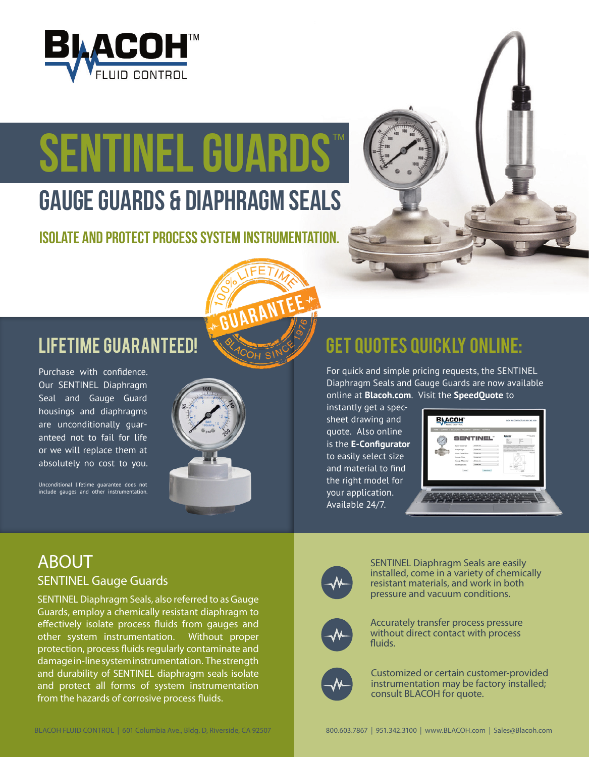

# TM **SENTINEL GUARDS**

# GAUGE GUARDS & DIAPHRAGM SEALS

ISOLATE AND PROTECT PROCESS SYSTEM INSTRUMENTATION.



## LIFETIME GUARANTEED!

Purchase with confidence. Our SENTINEL Diaphragm Seal and Gauge Guard housings and diaphragms are unconditionally guaranteed not to fail for life or we will replace them at absolutely no cost to you.

Unconditional lifetime guarantee does not include gauges and other instrumentation.



## GET QUOTES QUICKLY ONLINE:

For quick and simple pricing requests, the SENTINEL Diaphragm Seals and Gauge Guards are now available online at **Blacoh.com**. Visit the **SpeedQuote** to

instantly get a specsheet drawing and quote. Also online is the **E-Configurator**  to easily select size and material to find the right model for your application. Available 24/7.

| <b>Body Material</b><br><b>Charge and</b> |                 |
|-------------------------------------------|-----------------|
| structures further was a mile             |                 |
| <b>Distances</b><br>Diastrasm             |                 |
| Inset Tape/Size<br>Downey.<br>$-25$       |                 |
| Gauge Size<br><b>Distances</b>            |                 |
| Gauge Material<br>Change and              |                 |
| Certifications<br><b>Close on</b>         |                 |
| <b>Ballion</b><br>me.<br>$-122$           |                 |
|                                           | "THE EXITE LIST |

### ABOUT SENTINEL Gauge Guards

SENTINEL Diaphragm Seals, also referred to as Gauge Guards, employ a chemically resistant diaphragm to effectively isolate process fluids from gauges and other system instrumentation. Without proper protection, process fluids regularly contaminate and damage in-line system instrumentation. The strength and durability of SENTINEL diaphragm seals isolate and protect all forms of system instrumentation from the hazards of corrosive process fluids.



SENTINEL Diaphragm Seals are easily installed, come in a variety of chemically resistant materials, and work in both pressure and vacuum conditions.



Accurately transfer process pressure without direct contact with process fluids.



Customized or certain customer-provided instrumentation may be factory installed; consult BLACOH for quote.